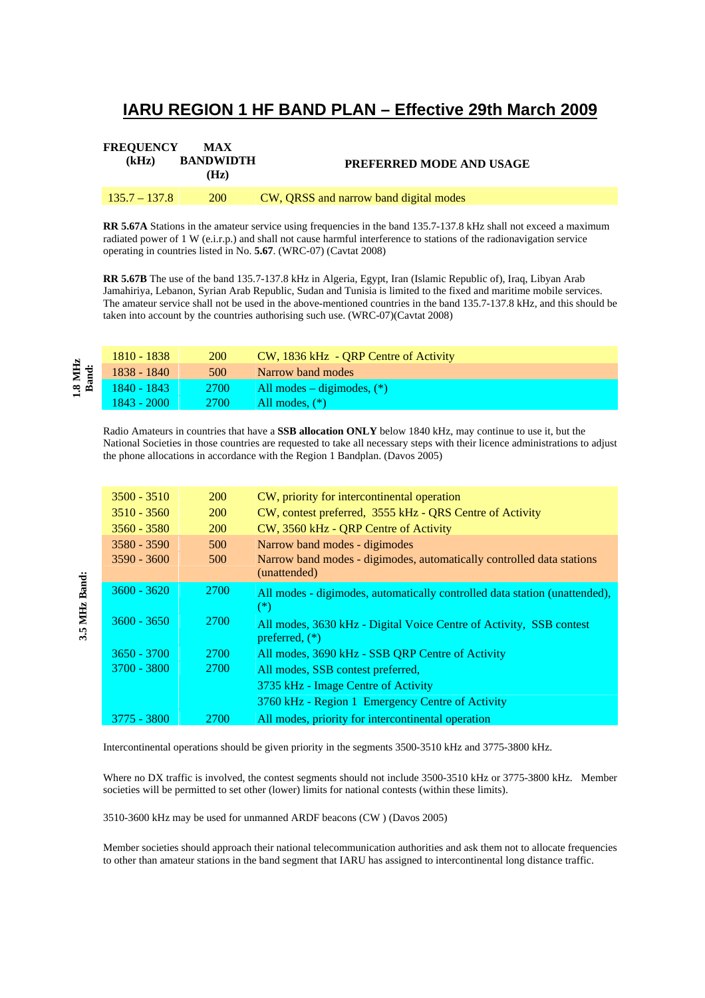## **IARU REGION 1 HF BAND PLAN – Effective 29th March 2009**

| <b>FREQUENCY</b><br>(kHz) | <b>MAX</b><br><b>BANDWIDTH</b><br>(Hz) | <b>PREFERRED MODE AND USAGE</b>        |
|---------------------------|----------------------------------------|----------------------------------------|
| $135.7 - 137.8$           | <b>200</b>                             | CW, QRSS and narrow band digital modes |

**RR 5.67A** Stations in the amateur service using frequencies in the band 135.7-137.8 kHz shall not exceed a maximum radiated power of 1 W (e.i.r.p.) and shall not cause harmful interference to stations of the radionavigation service operating in countries listed in No. **5.67**. (WRC-07) (Cavtat 2008)

**RR 5.67B** The use of the band 135.7-137.8 kHz in Algeria, Egypt, Iran (Islamic Republic of), Iraq, Libyan Arab Jamahiriya, Lebanon, Syrian Arab Republic, Sudan and Tunisia is limited to the fixed and maritime mobile services. The amateur service shall not be used in the above-mentioned countries in the band 135.7-137.8 kHz, and this should be taken into account by the countries authorising such use. (WRC-07)(Cavtat 2008)

| ×.             | 1810 - 1838   | <b>200</b>  | CW, 1836 kHz - ORP Centre of Activity |
|----------------|---------------|-------------|---------------------------------------|
| .8 MH<br>Band: | 1838 - 1840   | 500         | Narrow band modes                     |
|                | 1840 - 1843   | <b>2700</b> | All modes $-$ digimodes, $(*)$        |
|                | $1843 - 2000$ | <b>2700</b> | All modes, $(*)$                      |

Radio Amateurs in countries that have a **SSB allocation ONLY** below 1840 kHz, may continue to use it, but the National Societies in those countries are requested to take all necessary steps with their licence administrations to adjust the phone allocations in accordance with the Region 1 Bandplan. (Davos 2005)

| $3500 - 3510$ | <b>200</b>  | CW, priority for intercontinental operation                                |
|---------------|-------------|----------------------------------------------------------------------------|
| $3510 - 3560$ | <b>200</b>  | CW, contest preferred, 3555 kHz - QRS Centre of Activity                   |
| $3560 - 3580$ | <b>200</b>  | CW, 3560 kHz - QRP Centre of Activity                                      |
| $3580 - 3590$ | 500         | Narrow band modes - digimodes                                              |
| $3590 - 3600$ | 500         | Narrow band modes - digimodes, automatically controlled data stations      |
|               |             | (unattended)                                                               |
| $3600 - 3620$ | 2700        | All modes - digimodes, automatically controlled data station (unattended), |
|               |             | $(*)$                                                                      |
| $3600 - 3650$ | <b>2700</b> | All modes, 3630 kHz - Digital Voice Centre of Activity, SSB contest        |
|               |             | preferred, $(*)$                                                           |
| $3650 - 3700$ | 2700        | All modes, 3690 kHz - SSB QRP Centre of Activity                           |
| 3700 - 3800   | 2700        | All modes, SSB contest preferred,                                          |
|               |             | 3735 kHz - Image Centre of Activity                                        |
|               |             | 3760 kHz - Region 1 Emergency Centre of Activity                           |
| $3775 - 3800$ | 2700        | All modes, priority for intercontinental operation                         |

Intercontinental operations should be given priority in the segments 3500-3510 kHz and 3775-3800 kHz.

Where no DX traffic is involved, the contest segments should not include 3500-3510 kHz or 3775-3800 kHz. Member societies will be permitted to set other (lower) limits for national contests (within these limits).

3510-3600 kHz may be used for unmanned ARDF beacons (CW ) (Davos 2005)

Member societies should approach their national telecommunication authorities and ask them not to allocate frequencies to other than amateur stations in the band segment that IARU has assigned to intercontinental long distance traffic.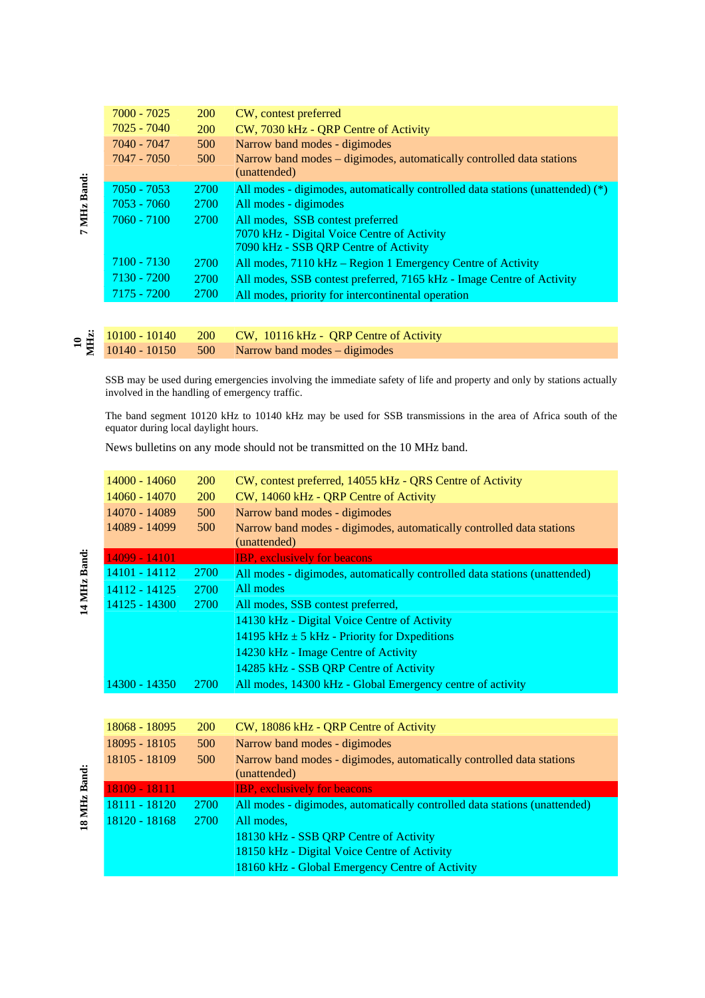|             | $7000 - 7025$ | <b>200</b>  | CW, contest preferred                                                                 |
|-------------|---------------|-------------|---------------------------------------------------------------------------------------|
|             | $7025 - 7040$ | <b>200</b>  | CW, 7030 kHz - QRP Centre of Activity                                                 |
|             | 7040 - 7047   | 500         | Narrow band modes - digimodes                                                         |
|             | 7047 - 7050   | 500         | Narrow band modes – digimodes, automatically controlled data stations<br>(unattended) |
|             | $7050 - 7053$ | <b>2700</b> | All modes - digimodes, automatically controlled data stations (unattended) (*)        |
|             | $7053 - 7060$ | 2700        | All modes - digimodes                                                                 |
| 7 MHz Band: | $7060 - 7100$ | 2700        | All modes, SSB contest preferred                                                      |
|             |               |             | 7070 kHz - Digital Voice Centre of Activity                                           |
|             |               |             | 7090 kHz - SSB QRP Centre of Activity                                                 |
|             | $7100 - 7130$ | 2700        | All modes, 7110 kHz – Region 1 Emergency Centre of Activity                           |
|             | 7130 - 7200   | 2700        | All modes, SSB contest preferred, 7165 kHz - Image Centre of Activity                 |
|             | $7175 - 7200$ | 2700        | All modes, priority for intercontinental operation                                    |
|             |               |             |                                                                                       |

|  | $\approx \frac{3}{2}$ $\frac{10100 - 10140}{10140 - 10150}$ 200 CW, 10116 kHz - QRP Centre of Activity |
|--|--------------------------------------------------------------------------------------------------------|

SSB may be used during emergencies involving the immediate safety of life and property and only by stations actually involved in the handling of emergency traffic.

The band segment 10120 kHz to 10140 kHz may be used for SSB transmissions in the area of Africa south of the equator during local daylight hours.

News bulletins on any mode should not be transmitted on the 10 MHz band.

| $14000 - 14060$ | <b>200</b>  | CW, contest preferred, 14055 kHz - QRS Centre of Activity                             |
|-----------------|-------------|---------------------------------------------------------------------------------------|
| 14060 - 14070   | <b>200</b>  | CW, 14060 kHz - QRP Centre of Activity                                                |
| 14070 - 14089   | 500         | Narrow band modes - digimodes                                                         |
| 14089 - 14099   | 500         | Narrow band modes - digimodes, automatically controlled data stations<br>(unattended) |
| 14099 - 14101   |             | <b>IBP</b> , exclusively for beacons                                                  |
| $14101 - 14112$ | <b>2700</b> | All modes - digimodes, automatically controlled data stations (unattended)            |
| 14112 - 14125   | 2700        | All modes                                                                             |
| 14125 - 14300   | <b>2700</b> | All modes, SSB contest preferred,                                                     |
|                 |             | 14130 kHz - Digital Voice Centre of Activity                                          |
|                 |             | 14195 kHz $\pm$ 5 kHz - Priority for Dxpeditions                                      |
|                 |             | 14230 kHz - Image Centre of Activity                                                  |
|                 |             | 14285 kHz - SSB ORP Centre of Activity                                                |
| 14300 - 14350   | <b>2700</b> | All modes, 14300 kHz - Global Emergency centre of activity                            |
|                 |             |                                                                                       |

| 18068 - 18095   | <b>200</b> | CW, 18086 kHz - QRP Centre of Activity                                     |
|-----------------|------------|----------------------------------------------------------------------------|
| 18095 - 18105   | 500        | Narrow band modes - digimodes                                              |
| 18105 - 18109   | 500        | Narrow band modes - digimodes, automatically controlled data stations      |
|                 |            | (unattended)                                                               |
| 18109 - 18111   |            | <b>IBP, exclusively for beacons</b>                                        |
| $18111 - 18120$ | 2700       | All modes - digimodes, automatically controlled data stations (unattended) |
| $18120 - 18168$ | 2700       | All modes.                                                                 |
|                 |            | 18130 kHz - SSB QRP Centre of Activity                                     |
|                 |            | 18150 kHz - Digital Voice Centre of Activity                               |
|                 |            | 18160 kHz - Global Emergency Centre of Activity                            |
|                 |            |                                                                            |

14 MHz Band: **14 MHz Band:**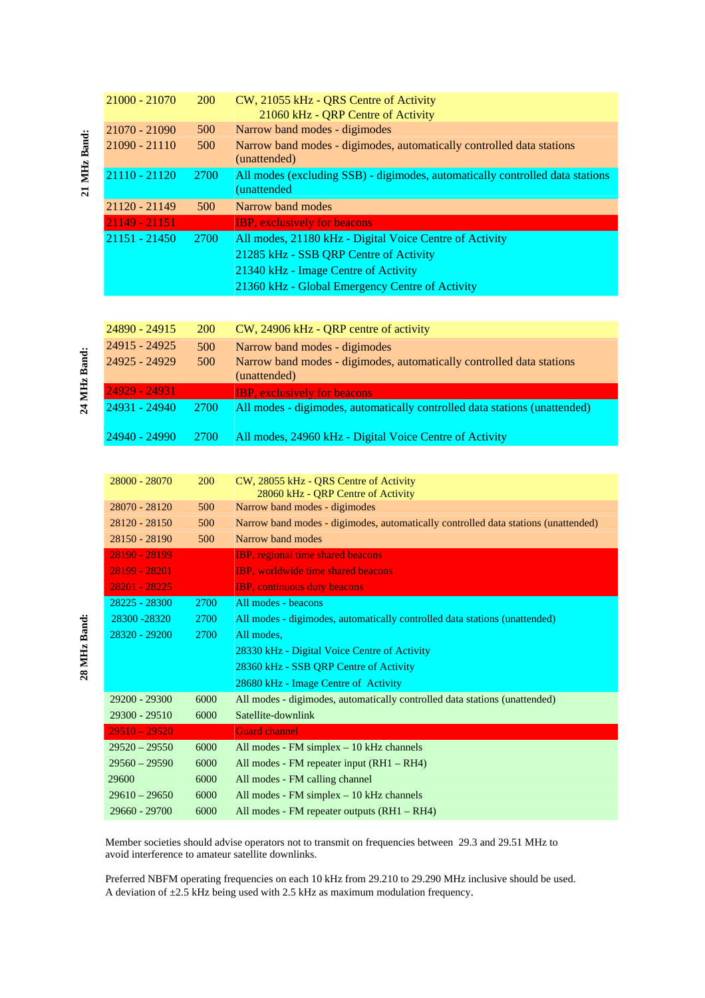| $21000 - 21070$ | <b>200</b>  | CW, 21055 kHz - QRS Centre of Activity<br>21060 kHz - QRP Centre of Activity                 |
|-----------------|-------------|----------------------------------------------------------------------------------------------|
| 21070 - 21090   | 500         | Narrow band modes - digimodes                                                                |
| 21090 - 21110   | 500         | Narrow band modes - digimodes, automatically controlled data stations<br>(unattended)        |
| 21110 - 21120   | <b>2700</b> | All modes (excluding SSB) - digimodes, automatically controlled data stations<br>(unattended |
| 21120 - 21149   | 500         | Narrow band modes                                                                            |
| $21149 - 21151$ |             | <b>IBP, exclusively for beacons</b>                                                          |
| $21151 - 21450$ | 2700        | All modes, 21180 kHz - Digital Voice Centre of Activity                                      |
|                 |             | 21285 kHz - SSB QRP Centre of Activity                                                       |
|                 |             | 21340 kHz - Image Centre of Activity                                                         |
|                 |             | 21360 kHz - Global Emergency Centre of Activity                                              |

| 24890 - 24915  | <b>200</b>  | CW, 24906 kHz - QRP centre of activity                                                |
|----------------|-------------|---------------------------------------------------------------------------------------|
| 24915 - 24925  | 500         | Narrow band modes - digimodes                                                         |
| 24925 - 24929  | 500         | Narrow band modes - digimodes, automatically controlled data stations<br>(unattended) |
| 24929 - 249311 |             | <b>IBP</b> , exclusively for beacons                                                  |
| 24931 - 24940  | 2700        | All modes - digimodes, automatically controlled data stations (unattended)            |
| 24940 - 24990  | <b>2700</b> | All modes, 24960 kHz - Digital Voice Centre of Activity                               |

| 28000 - 28070   | <b>200</b> | CW, 28055 kHz - ORS Centre of Activity<br>28060 kHz - QRP Centre of Activity       |
|-----------------|------------|------------------------------------------------------------------------------------|
| 28070 - 28120   | 500        | Narrow band modes - digimodes                                                      |
| $28120 - 28150$ | 500        | Narrow band modes - digimodes, automatically controlled data stations (unattended) |
| 28150 - 28190   | 500        | Narrow band modes                                                                  |
| 28190 - 28199   |            | <b>IBP</b> , regional time shared beacons                                          |
| 28199 - 28201   |            | <b>IBP</b> , worldwide time shared beacons                                         |
| 28201 - 28225   |            | <b>IBP</b> , continuous duty beacons                                               |
| 28225 - 28300   | 2700       | All modes - beacons                                                                |
| 28300 - 28320   | 2700       | All modes - digimodes, automatically controlled data stations (unattended)         |
| 28320 - 29200   | 2700       | All modes.                                                                         |
|                 |            | 28330 kHz - Digital Voice Centre of Activity                                       |
|                 |            | 28360 kHz - SSB QRP Centre of Activity                                             |
|                 |            | 28680 kHz - Image Centre of Activity                                               |
| 29200 - 29300   | 6000       | All modes - digimodes, automatically controlled data stations (unattended)         |
| 29300 - 29510   | 6000       | Satellite-downlink                                                                 |
| $29510 - 29520$ |            | <b>Guard channel</b>                                                               |
| $29520 - 29550$ | 6000       | All modes - $FM$ simplex $-10$ kHz channels                                        |
| $29560 - 29590$ | 6000       | All modes - FM repeater input (RH1 – RH4)                                          |
| 29600           | 6000       | All modes - FM calling channel                                                     |
| $29610 - 29650$ | 6000       | All modes - $FM$ simplex $-10$ kHz channels                                        |
| $29660 - 29700$ | 6000       | All modes - FM repeater outputs $(RH1 - RH4)$                                      |

 Member societies should advise operators not to transmit on frequencies between 29.3 and 29.51 MHz to avoid interference to amateur satellite downlinks.

 Preferred NBFM operating frequencies on each 10 kHz from 29.210 to 29.290 MHz inclusive should be used. A deviation of  $\pm 2.5$  kHz being used with 2.5 kHz as maximum modulation frequency.

24 MHz Band:  **24 MHz Band:** 

 **21 MHz Band:** 

21 MHz Band: